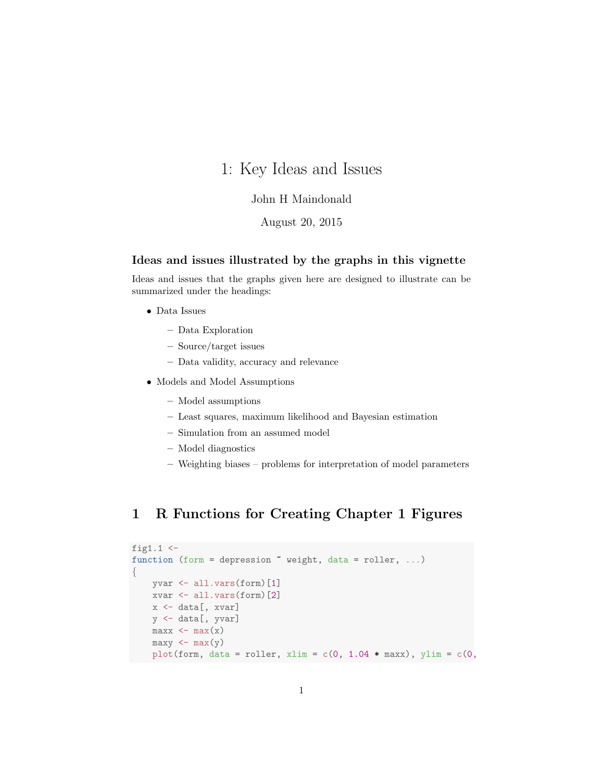# 1: Key Ideas and Issues

#### John H Maindonald

#### August 20, 2015

#### Ideas and issues illustrated by the graphs in this vignette

Ideas and issues that the graphs given here are designed to illustrate can be summarized under the headings:

- Data Issues
	- Data Exploration
	- Source/target issues
	- Data validity, accuracy and relevance
- Models and Model Assumptions
	- Model assumptions
	- Least squares, maximum likelihood and Bayesian estimation
	- Simulation from an assumed model
	- Model diagnostics
	- Weighting biases problems for interpretation of model parameters

## 1 R Functions for Creating Chapter 1 Figures

```
fig1.1 \leftarrowfunction (form = depression \tilde{\ } weight, data = roller, ...)
{
    yvar <- all.vars(form)[1]
    xvar <- all.vars(form)[2]
    x <- data[, xvar]
    y <- data[, yvar]
    max x \leftarrow max(x)maxy \leftarrow max(y)plot(form, data = roller, xlim = c(0, 1.04 * \text{max}), ylim = c(0,
```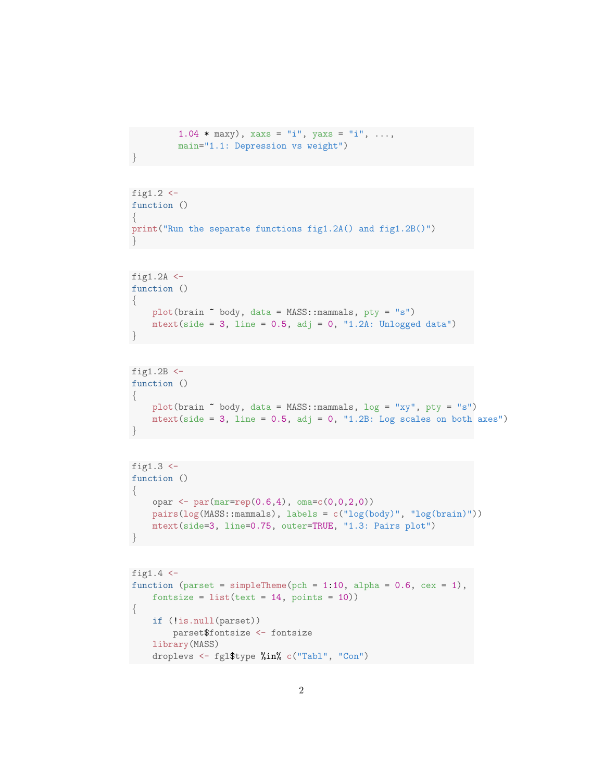```
1.04 * maxy), xaxs = "i", yaxs = "i", ...,
main="1.1: Depression vs weight")
```

```
fig1.2 \leftarrowfunction ()
\{print("Run the separate functions fig1.2A() and fig1.2B()")
}
```

```
fig1.2A \leftarrowfunction ()
\{plot(brain ~ body, data = MASS::mammals, pty = "s")
    mtext{text(side = 3, line = 0.5, adj = 0, "1.2A: Unlogged data")}}
```

```
fig1.2B \leftarrowfunction ()
\{plot(brain ~ body, data = MASS::mammals, log = "xy", pty = "s")
    mtext(side = 3, line = 0.5, adj = 0, "1.2B: Log scales on both axes")
}
```

```
fig1.3 \leftarrowfunction ()
{
    opar \leq par(mar=rep(0.6,4), oma=c(0,0,2,0))
    pairs(log(MASS::mammals), labels = c("log(body)", "log(brain)"))
    mtext(side=3, line=0.75, outer=TRUE, "1.3: Pairs plot")
}
```

```
fig1.4 \leftarrowfunction (parset = simpleTheme(pch = 1:10, alpha = 0.6, cex = 1),
    fontsize = list(text = 14, points = 10)){
    if (!is.null(parset))
        parset$fontsize <- fontsize
    library(MASS)
    droplevs <- fgl$type %in% c("Tabl", "Con")
```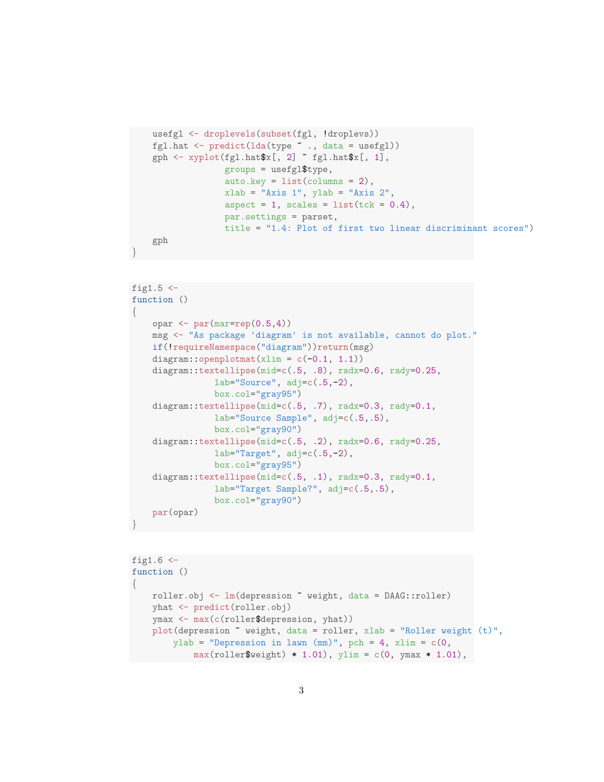```
usefgl <- droplevels(subset(fgl, !droplevs))
    fgl.hat <- predict(lda(type ~ ., data = usefgl))
    {\tt gph} \ \texttt{<}\ \texttt{xyplot}({\tt fgl}.\texttt{hat\$x[, 2]}\ \texttt{``}\ {\tt fgl}.\texttt{hat\$x[, 1]},groups = usefgl$type,
                      auto.key = list(columns = 2),
                      xlab = "Axis 1", ylab = "Axis 2",
                      aspect = 1, scales = list(tck = 0.4),
                      par.settings = parset,
                      title = "1.4: Plot of first two linear discriminant scores")
    gph
}
fig1.5 \leftarrowfunction ()
{
    opar \leftarrow par(mar=rep(0.5,4))
```

```
msg <- "As package 'diagram' is not available, cannot do plot."
   if(!requireNamespace("diagram"))return(msg)
   diagram::openplotmat(xlim = c(-0.1, 1.1))
   diagram::textellipse(mid=c(.5, .8), radx=0.6, rady=0.25,
               lab="Source", adj=c(.5,-2),box.col="gray95")
   diagram::textellipse(mid=c(.5, .7), radx=0.3, rady=0.1,
               lab="Source Sample", adj=c(.5,.5),
               box.col="gray90")
   diagram::textellipse(mid=c(.5, .2), radx=0.6, rady=0.25,
               lab="Target", adj=c(.5,-2),box.col="gray95")
   diagram::textellipse(mid=c(.5, .1), radx=0.3, rady=0.1,
               lab="Target Sample?", adj=c(.5,.5),
               box.col="gray90")
   par(opar)
}
```

```
fig1.6 \leftarrowfunction ()
{
   roller.obj <- lm(depression ~ weight, data = DAAG::roller)
   yhat <- predict(roller.obj)
   ymax <- max(c(roller$depression, yhat))
    plot(depression ~ weight, data = roller, xlab = "Roller weight (t)",
        ylab = "Depression in lawn (\text{mm})", pch = 4, xlim = c(0,max(roller$weight) * 1.01), ylim = c(0, ymax * 1.01),
```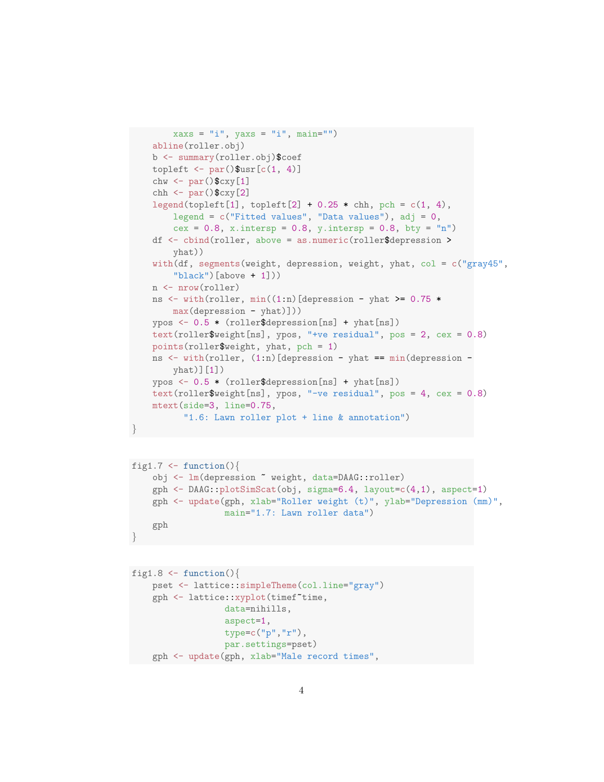```
xaxs = "i", yaxs = "i", main="")
abline(roller.obj)
b <- summary(roller.obj)$coef
topleft \leq par()$usr[c(1, 4)]
chw \leftarrow par()$cxy[1]
chh \leq par() \text{cxy}[2]legend(topleft[1], topleft[2] + 0.25 * chh, pch = c(1, 4),
    legend = c("Fitted values", "Data values"), adj = 0,cex = 0.8, x.intersp = 0.8, y.intersp = 0.8, bty = "n")
df <- cbind(roller, above = as.numeric(roller$depression >
    yhat))
with(df, segments(weight, depression, weight, yhat, col = c("gray45",
    "black")[above + 1]))
n <- nrow(roller)
ns \le with(roller, min((1:n)[depression - yhat >= 0.75 *
    max(depression - yhat)]))
ypos \leq 0.5 * (roller$depression[ns] + yhat[ns])
text(roller$weight[ns], ypos, "+ve residual", pos = 2, cex = 0.8)
points(roller$weight, yhat, pch = 1)
ns <- with(roller, (1:n)[depression - yhat == min(depression -
    yhat)][1])
ypos <- 0.5 * (roller$depression[ns] + yhat[ns])
text(roller$weight[ns], ypos, "-ve residual", pos = 4, cex = 0.8)
mtext(side=3, line=0.75,
      "1.6: Lawn roller plot + line & annotation")
```

```
fig1.7 <- function(){
   obj <- lm(depression ~ weight, data=DAAG::roller)
    gph <- DAAG::plotSimScat(obj, sigma=6.4, layout=c(4,1), aspect=1)
    gph <- update(gph, xlab="Roller weight (t)", ylab="Depression (mm)",
                  main="1.7: Lawn roller data")
    gph
}
```

```
fig1.8 \leftarrow function(){
    pset <- lattice::simpleTheme(col.line="gray")
    gph <- lattice::xyplot(timef~time,
                   data=nihills,
                   aspect=1,
                   type=c("p","r"),
                   par.settings=pset)
    gph <- update(gph, xlab="Male record times",
```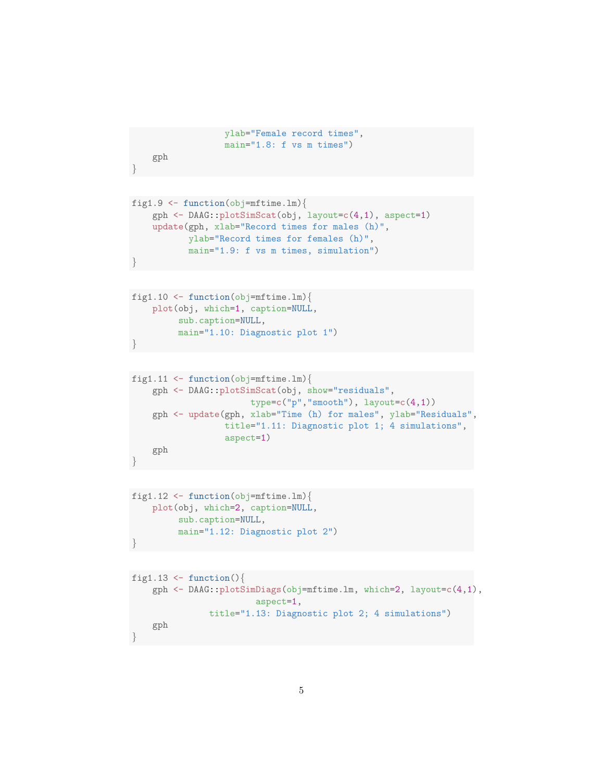```
ylab="Female record times",
main="1.8: f vs m times")
```

```
gph
```

```
fig1.9 \leftarrow function(obj=mftime.lm){
    gph <- DAAG::plotSimScat(obj, layout=c(4,1), aspect=1)
    update(gph, xlab="Record times for males (h)",
           ylab="Record times for females (h)",
           main="1.9: f vs m times, simulation")
}
```

```
fig1.10 \leftarrow function(obj=mftime.lm){
    plot(obj, which=1, caption=NULL,
         sub.caption=NULL,
         main="1.10: Diagnostic plot 1")
}
```

```
fig1.11 <- function(obj=mftime.lm){
    gph <- DAAG::plotSimScat(obj, show="residuals",
                       type=c("p", "smooth"), layout=c(4,1))gph <- update(gph, xlab="Time (h) for males", ylab="Residuals",
                  title="1.11: Diagnostic plot 1; 4 simulations",
                  aspect=1)
   gph
}
```

```
fig1.12 \leftarrow function(obj=mftime.lm){
    plot(obj, which=2, caption=NULL,
         sub.caption=NULL,
         main="1.12: Diagnostic plot 2")
}
```

```
fig1.13 \leftarrow function(){
    gph <- DAAG::plotSimDiags(obj=mftime.lm, which=2, layout=c(4,1),
                         aspect=1,
                title="1.13: Diagnostic plot 2; 4 simulations")
    gph
}
```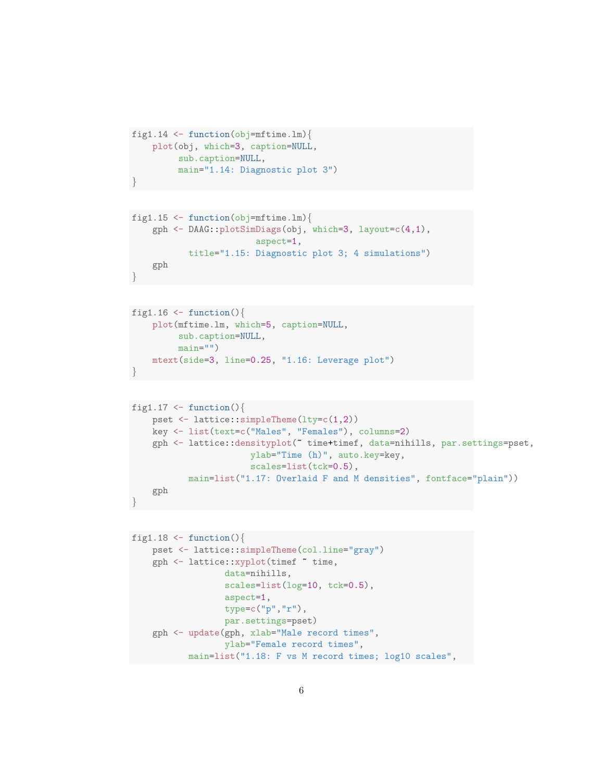```
fig1.14 \leftarrow function(obj=mftime.lm){
    plot(obj, which=3, caption=NULL,
         sub.caption=NULL,
         main="1.14: Diagnostic plot 3")
}
```

```
fig1.15 \leftarrow function(obj=mftime.lm){
    gph <- DAAG::plotSimDiags(obj, which=3, layout=c(4,1),
                          aspect=1,
           title="1.15: Diagnostic plot 3; 4 simulations")
    gph
}
```

```
fig1.16 \leftarrow function(){
    plot(mftime.lm, which=5, caption=NULL,
         sub.caption=NULL,
         main="")mtext(side=3, line=0.25, "1.16: Leverage plot")
}
```

```
fig1.17 \leftarrow function(){
    pset <- lattice::simpleTheme(lty=c(1,2))
    key <- list(text=c("Males", "Females"), columns=2)
    gph <- lattice::densityplot(~ time+timef, data=nihills, par.settings=pset,
                       ylab="Time (h)", auto.key=key,
                       scales=list(tck=0.5),
           main=list("1.17: Overlaid F and M densities", fontface="plain"))
   gph
}
```

```
fig1.18 \leftarrow function(){
    pset <- lattice::simpleTheme(col.line="gray")
    gph <- lattice::xyplot(timef ~ time,
                  data=nihills,
                  scales=list(log=10, tck=0.5),
                  aspect=1,
                  type=c("p","r"),
                  par.settings=pset)
    gph <- update(gph, xlab="Male record times",
                  ylab="Female record times",
           main=list("1.18: F vs M record times; log10 scales",
```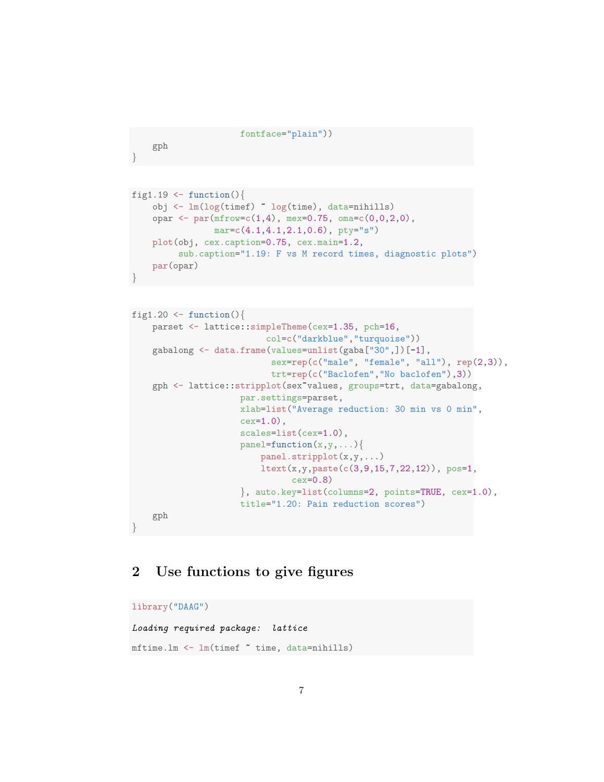```
fontface="plain"))
```

```
gph
```

```
fig1.19 \leftarrow function(){
    obj <- lm(log(timef) ~ log(time), data=nihills)
    opar \leq par(mfrow=c(1,4), mex=0.75, oma=c(0,0,2,0),
                mar=c(4.1,4.1,2.1,0.6), pty="s")
    plot(obj, cex.caption=0.75, cex.main=1.2,
         sub.caption="1.19: F vs M record times, diagnostic plots")
    par(opar)
}
```

```
fig1.20 \leftarrow function(){
    parset <- lattice::simpleTheme(cex=1.35, pch=16,
                          col=c("darkblue","turquoise"))
    gabalong <- data.frame(values=unlist(gaba["30",])[-1],
                           sex=rep(c("male", "female", "all"), rep(2,3)),
                           trt=rep(c("Baclofen","No baclofen"),3))
    gph <- lattice::stripplot(sex~values, groups=trt, data=gabalong,
                     par.settings=parset,
                     xlab=list("Average reduction: 30 min vs 0 min",
                     cex=1.0),
                     scales=list(cex=1.0),
                     panel = function(x, y, ...)panel.stripplot(x,y,...)
                         ltext(x,y,paste(c(3,9,15,7,22,12)), pos=1,
                               cex=0.8)
                     }, auto.key=list(columns=2, points=TRUE, cex=1.0),
                     title="1.20: Pain reduction scores")
    gph
}
```
## 2 Use functions to give figures

```
library("DAAG")
Loading required package: lattice
mftime.lm <- lm(timef ~ time, data=nihills)
```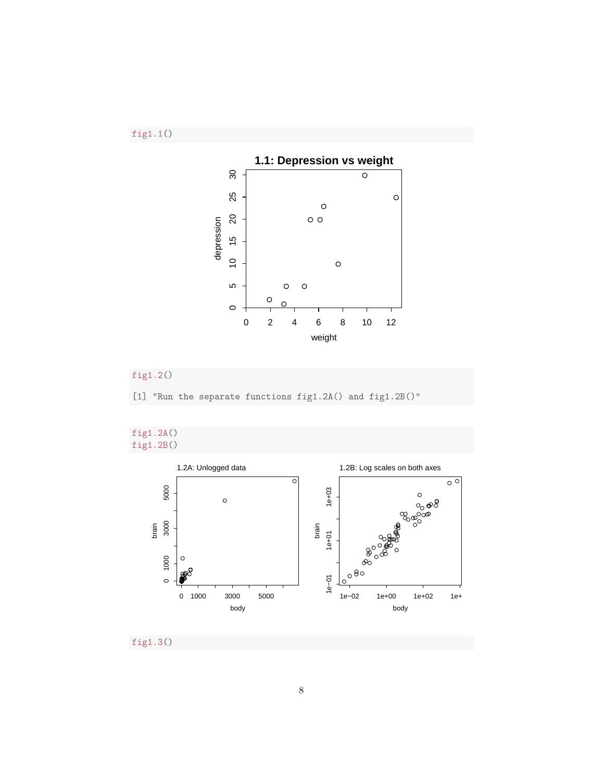



### fig1.2()

[1] "Run the separate functions fig1.2A() and fig1.2B()"





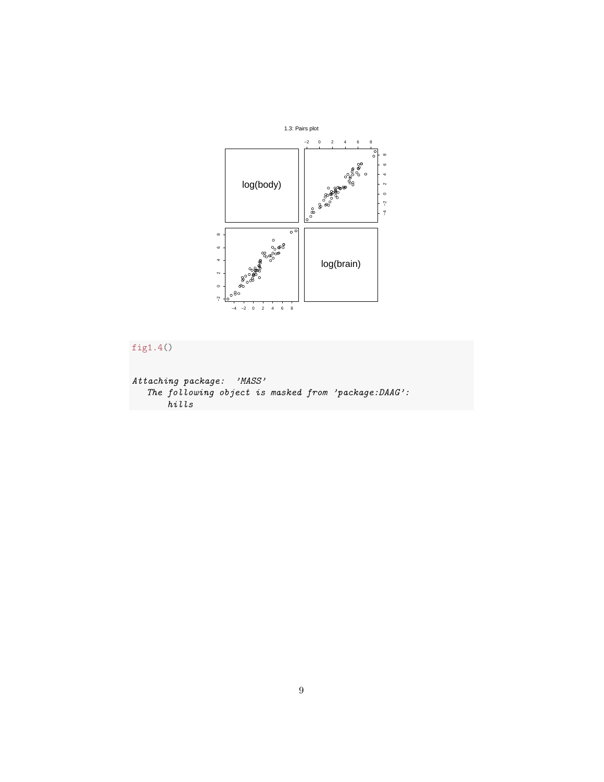



```
Attaching package: 'MASS'
   The following object is masked from 'package:DAAG':
      hills
```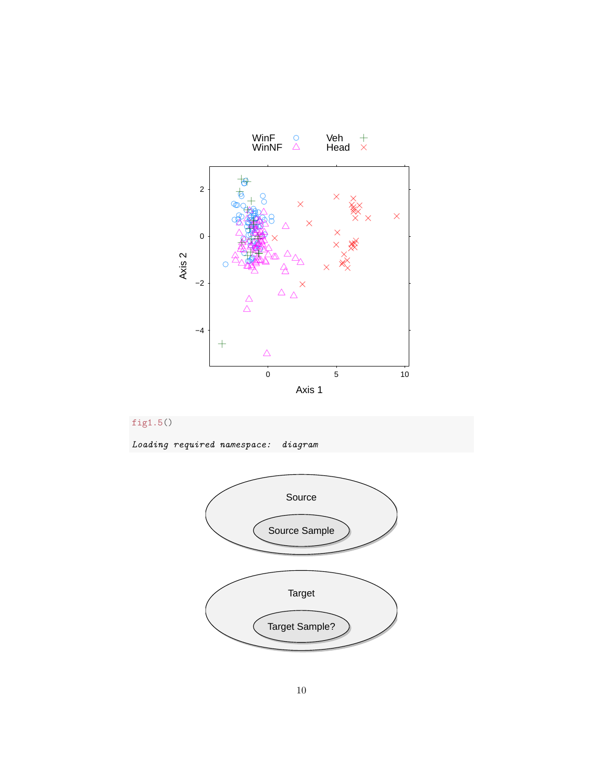



Loading required namespace: diagram

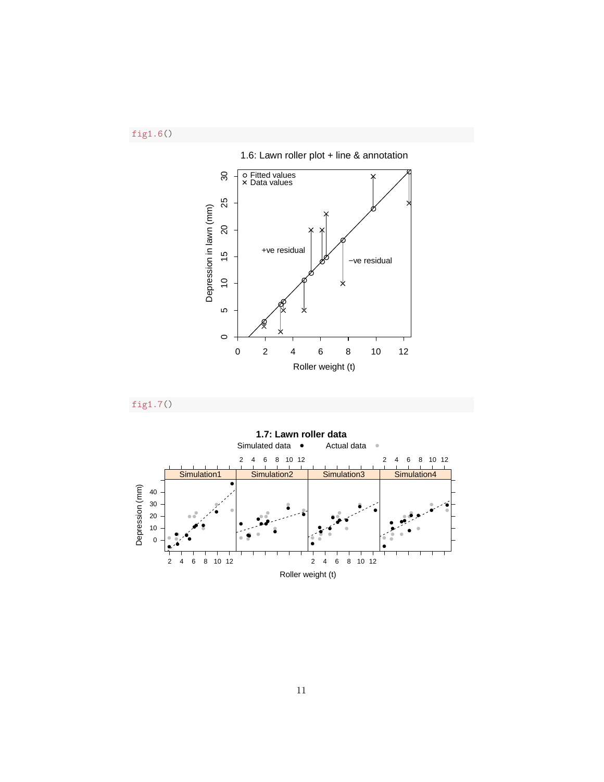fig1.6()





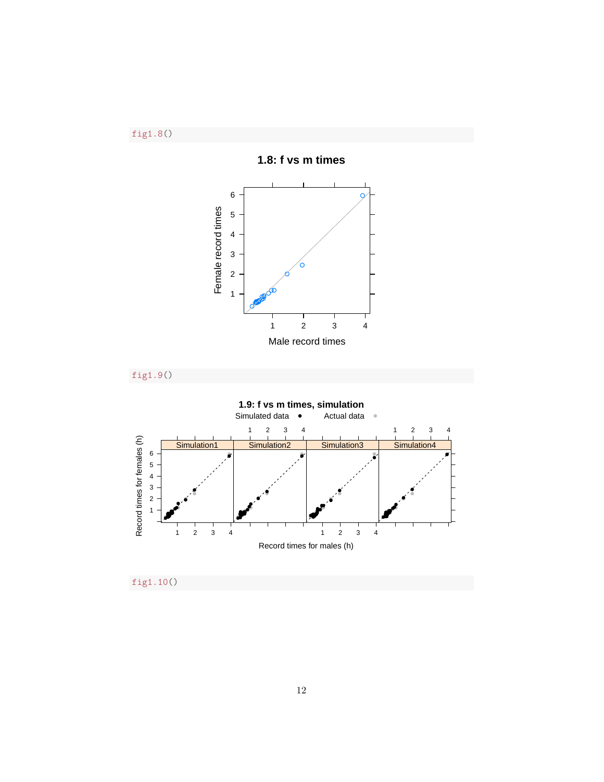fig1.8()







fig1.10()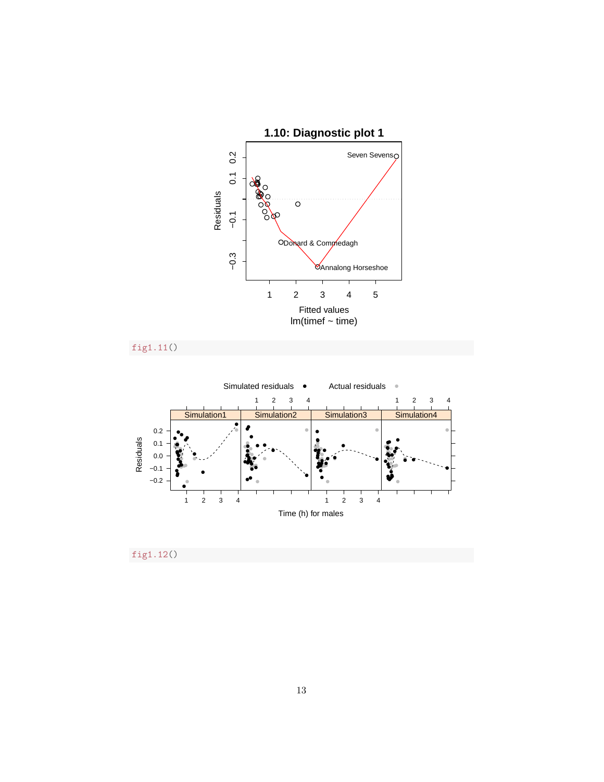

fig1.11()



fig1.12()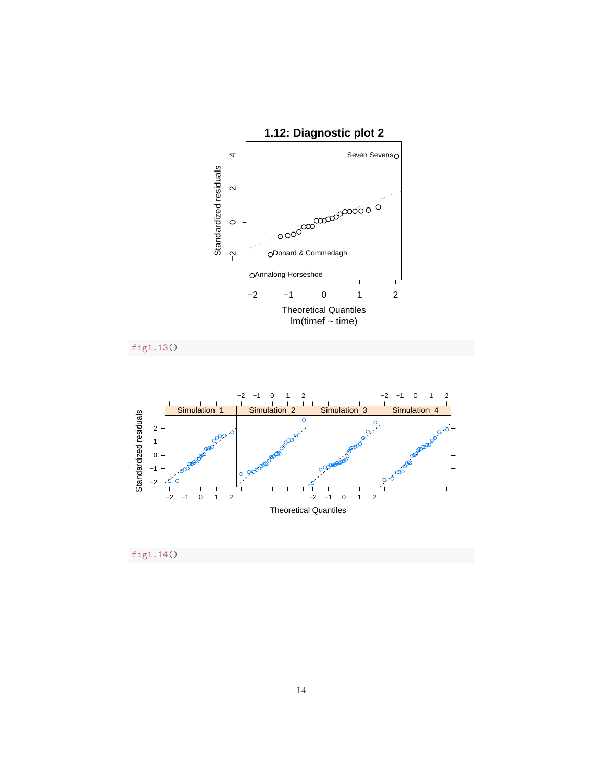

fig1.13()



fig1.14()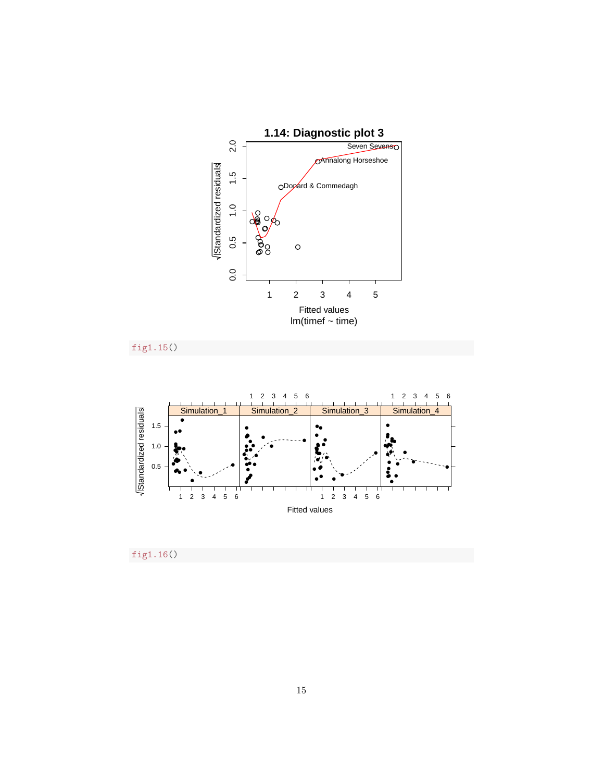

fig1.15()



fig1.16()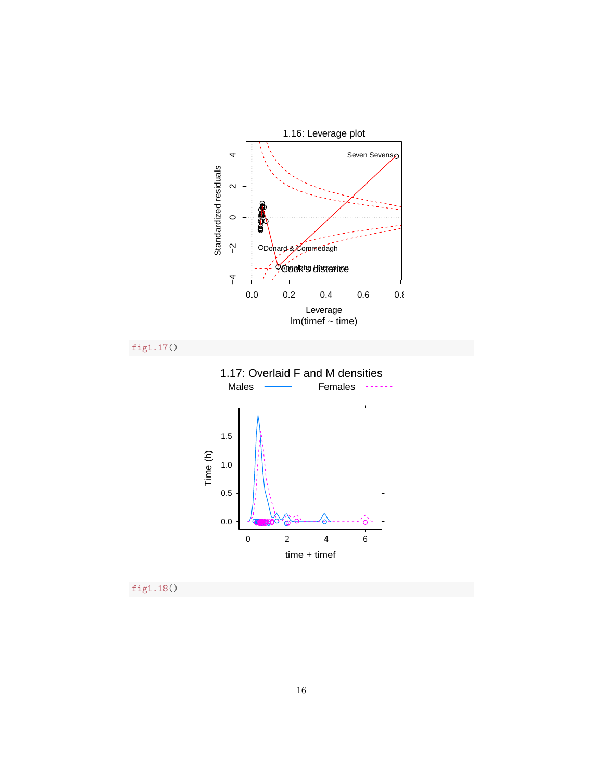

fig1.18()